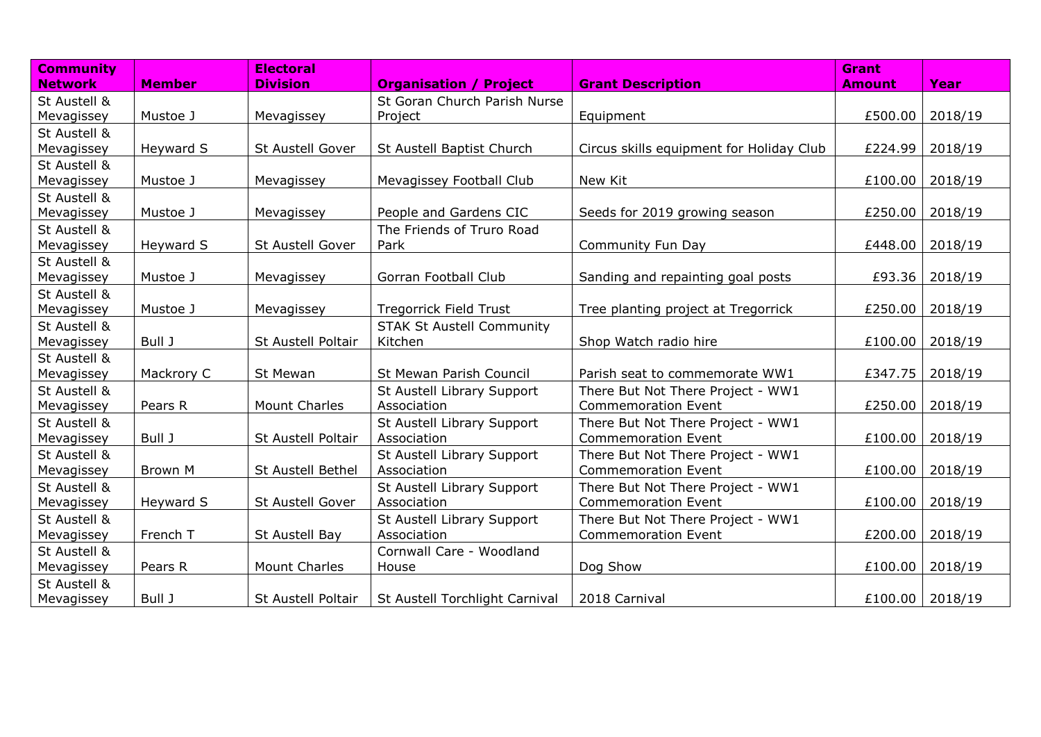| <b>Community</b> |               | <b>Electoral</b>     |                                  |                                          | <b>Grant</b>      |             |
|------------------|---------------|----------------------|----------------------------------|------------------------------------------|-------------------|-------------|
| <b>Network</b>   | <b>Member</b> | <b>Division</b>      | <b>Organisation / Project</b>    | <b>Grant Description</b>                 | <b>Amount</b>     | <b>Year</b> |
| St Austell &     |               |                      | St Goran Church Parish Nurse     |                                          |                   |             |
| Mevagissey       | Mustoe J      | Mevagissey           | Project                          | Equipment                                | £500.00           | 2018/19     |
| St Austell &     |               |                      |                                  |                                          |                   |             |
| Mevagissey       | Heyward S     | St Austell Gover     | St Austell Baptist Church        | Circus skills equipment for Holiday Club | £224.99           | 2018/19     |
| St Austell &     |               |                      |                                  |                                          |                   |             |
| Mevagissey       | Mustoe J      | Mevagissey           | Mevagissey Football Club         | New Kit                                  | £100.00           | 2018/19     |
| St Austell &     |               |                      |                                  |                                          |                   |             |
| Mevagissey       | Mustoe J      | Mevagissey           | People and Gardens CIC           | Seeds for 2019 growing season            | £250.00   2018/19 |             |
| St Austell &     |               |                      | The Friends of Truro Road        |                                          |                   |             |
| Mevagissey       | Heyward S     | St Austell Gover     | Park                             | Community Fun Day                        | £448.00           | 2018/19     |
| St Austell &     |               |                      |                                  |                                          |                   |             |
| Mevagissey       | Mustoe J      | Mevagissey           | Gorran Football Club             | Sanding and repainting goal posts        | £93.36            | 2018/19     |
| St Austell &     |               |                      |                                  |                                          |                   |             |
| Mevagissey       | Mustoe J      | Mevagissey           | <b>Tregorrick Field Trust</b>    | Tree planting project at Tregorrick      | £250.00           | 2018/19     |
| St Austell &     |               |                      | <b>STAK St Austell Community</b> |                                          |                   |             |
| Mevagissey       | Bull J        | St Austell Poltair   | Kitchen                          | Shop Watch radio hire                    | £100.00           | 2018/19     |
| St Austell &     |               |                      |                                  |                                          |                   |             |
| Mevagissey       | Mackrory C    | St Mewan             | St Mewan Parish Council          | Parish seat to commemorate WW1           | £347.75 2018/19   |             |
| St Austell &     |               |                      | St Austell Library Support       | There But Not There Project - WW1        |                   |             |
| Mevagissey       | Pears R       | <b>Mount Charles</b> | Association                      | <b>Commemoration Event</b>               | £250.00           | 2018/19     |
| St Austell &     |               |                      | St Austell Library Support       | There But Not There Project - WW1        |                   |             |
| Mevagissey       | Bull J        | St Austell Poltair   | Association                      | <b>Commemoration Event</b>               | £100.00           | 2018/19     |
| St Austell &     |               |                      | St Austell Library Support       | There But Not There Project - WW1        |                   |             |
| Mevagissey       | Brown M       | St Austell Bethel    | Association                      | <b>Commemoration Event</b>               | £100.00           | 2018/19     |
| St Austell &     |               |                      | St Austell Library Support       | There But Not There Project - WW1        |                   |             |
| Mevagissey       | Heyward S     | St Austell Gover     | Association                      | <b>Commemoration Event</b>               | £100.00           | 2018/19     |
| St Austell &     |               |                      | St Austell Library Support       | There But Not There Project - WW1        |                   |             |
| Mevagissey       | French T      | St Austell Bay       | Association                      | <b>Commemoration Event</b>               | £200.00   2018/19 |             |
| St Austell &     |               |                      | Cornwall Care - Woodland         |                                          |                   |             |
| Mevagissey       | Pears R       | <b>Mount Charles</b> | House                            | Dog Show                                 | £100.00   2018/19 |             |
| St Austell &     |               |                      |                                  |                                          |                   |             |
| Mevagissey       | Bull J        | St Austell Poltair   | St Austell Torchlight Carnival   | 2018 Carnival                            | £100.00   2018/19 |             |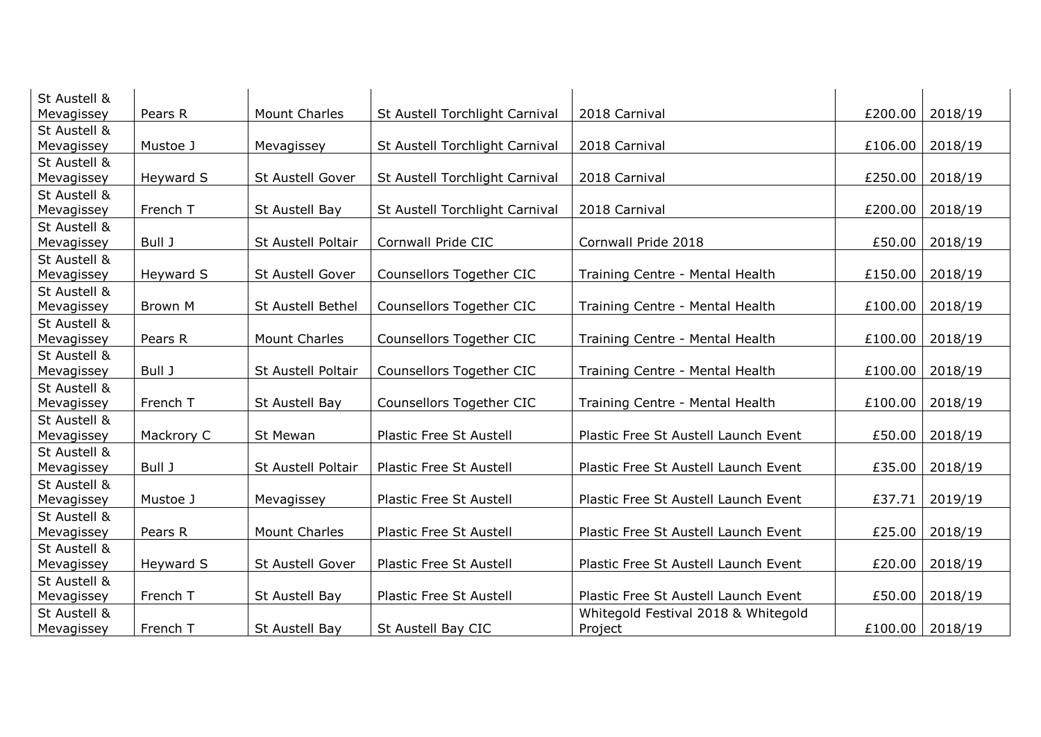| St Austell & |            |                         |                                 |                                      |         |         |
|--------------|------------|-------------------------|---------------------------------|--------------------------------------|---------|---------|
| Mevagissey   | Pears R    | <b>Mount Charles</b>    | St Austell Torchlight Carnival  | 2018 Carnival                        | £200.00 | 2018/19 |
| St Austell & |            |                         |                                 |                                      |         |         |
| Mevagissey   | Mustoe J   | Mevagissey              | St Austell Torchlight Carnival  | 2018 Carnival                        | £106.00 | 2018/19 |
| St Austell & |            |                         |                                 |                                      |         |         |
| Mevagissey   | Heyward S  | <b>St Austell Gover</b> | St Austell Torchlight Carnival  | 2018 Carnival                        | £250.00 | 2018/19 |
| St Austell & |            |                         |                                 |                                      |         |         |
| Mevagissey   | French T   | St Austell Bay          | St Austell Torchlight Carnival  | 2018 Carnival                        | £200.00 | 2018/19 |
| St Austell & |            |                         |                                 |                                      |         |         |
| Mevagissey   | Bull J     | St Austell Poltair      | Cornwall Pride CIC              | Cornwall Pride 2018                  | £50.00  | 2018/19 |
| St Austell & |            |                         |                                 |                                      |         |         |
| Mevagissey   | Heyward S  | St Austell Gover        | <b>Counsellors Together CIC</b> | Training Centre - Mental Health      | £150.00 | 2018/19 |
| St Austell & |            |                         |                                 |                                      |         |         |
| Mevagissey   | Brown M    | St Austell Bethel       | Counsellors Together CIC        | Training Centre - Mental Health      | £100.00 | 2018/19 |
| St Austell & |            |                         |                                 |                                      |         |         |
| Mevagissey   | Pears R    | <b>Mount Charles</b>    | <b>Counsellors Together CIC</b> | Training Centre - Mental Health      | £100.00 | 2018/19 |
| St Austell & |            |                         |                                 |                                      |         |         |
| Mevagissey   | Bull J     | St Austell Poltair      | <b>Counsellors Together CIC</b> | Training Centre - Mental Health      | £100.00 | 2018/19 |
| St Austell & |            |                         |                                 |                                      |         |         |
| Mevagissey   | French T   | St Austell Bay          | Counsellors Together CIC        | Training Centre - Mental Health      | £100.00 | 2018/19 |
| St Austell & |            |                         |                                 |                                      |         |         |
| Mevagissey   | Mackrory C | St Mewan                | Plastic Free St Austell         | Plastic Free St Austell Launch Event | £50.00  | 2018/19 |
| St Austell & |            |                         |                                 |                                      |         |         |
| Mevagissey   | Bull J     | St Austell Poltair      | Plastic Free St Austell         | Plastic Free St Austell Launch Event | £35.00  | 2018/19 |
| St Austell & |            |                         |                                 |                                      |         |         |
| Mevagissey   | Mustoe J   | Mevagissey              | Plastic Free St Austell         | Plastic Free St Austell Launch Event | £37.71  | 2019/19 |
| St Austell & |            |                         |                                 |                                      |         |         |
| Mevagissey   | Pears R    | <b>Mount Charles</b>    | Plastic Free St Austell         | Plastic Free St Austell Launch Event | £25.00  | 2018/19 |
| St Austell & |            |                         |                                 |                                      |         |         |
| Mevagissey   | Heyward S  | St Austell Gover        | Plastic Free St Austell         | Plastic Free St Austell Launch Event | £20.00  | 2018/19 |
| St Austell & |            |                         |                                 |                                      |         |         |
| Mevagissey   | French T   | St Austell Bay          | Plastic Free St Austell         | Plastic Free St Austell Launch Event | £50.00  | 2018/19 |
| St Austell & |            |                         |                                 | Whitegold Festival 2018 & Whitegold  |         |         |
| Mevagissey   | French T   | St Austell Bay          | St Austell Bay CIC              | Project                              | £100.00 | 2018/19 |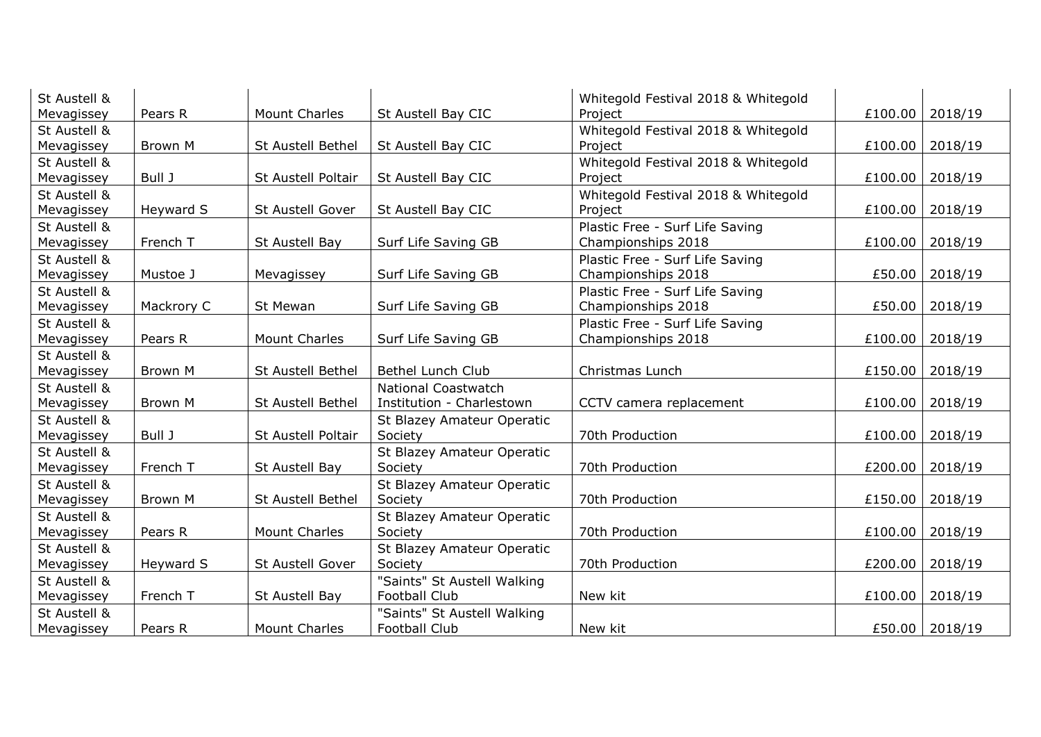| St Austell & |            |                      |                             | Whitegold Festival 2018 & Whitegold |                   |                |
|--------------|------------|----------------------|-----------------------------|-------------------------------------|-------------------|----------------|
| Mevagissey   | Pears R    | <b>Mount Charles</b> | St Austell Bay CIC          | Project                             | £100.00   2018/19 |                |
| St Austell & |            |                      |                             | Whitegold Festival 2018 & Whitegold |                   |                |
| Mevagissey   | Brown M    | St Austell Bethel    | St Austell Bay CIC          | Project                             | £100.00           | 2018/19        |
| St Austell & |            |                      |                             | Whitegold Festival 2018 & Whitegold |                   |                |
| Mevagissey   | Bull J     | St Austell Poltair   | St Austell Bay CIC          | Project                             | £100.00           | 2018/19        |
| St Austell & |            |                      |                             | Whitegold Festival 2018 & Whitegold |                   |                |
| Mevagissey   | Heyward S  | St Austell Gover     | St Austell Bay CIC          | Project                             | £100.00           | 2018/19        |
| St Austell & |            |                      |                             | Plastic Free - Surf Life Saving     |                   |                |
| Mevagissey   | French T   | St Austell Bay       | Surf Life Saving GB         | Championships 2018                  | £100.00   2018/19 |                |
| St Austell & |            |                      |                             | Plastic Free - Surf Life Saving     |                   |                |
| Mevagissey   | Mustoe J   | Mevagissey           | Surf Life Saving GB         | Championships 2018                  | £50.00            | 2018/19        |
| St Austell & |            |                      |                             | Plastic Free - Surf Life Saving     |                   |                |
| Mevagissey   | Mackrory C | St Mewan             | Surf Life Saving GB         | Championships 2018                  | £50.00            | 2018/19        |
| St Austell & |            |                      |                             | Plastic Free - Surf Life Saving     |                   |                |
| Mevagissey   | Pears R    | <b>Mount Charles</b> | Surf Life Saving GB         | Championships 2018                  | £100.00           | 2018/19        |
| St Austell & |            |                      |                             |                                     |                   |                |
| Mevagissey   | Brown M    | St Austell Bethel    | <b>Bethel Lunch Club</b>    | Christmas Lunch                     | £150.00           | 2018/19        |
| St Austell & |            |                      | <b>National Coastwatch</b>  |                                     |                   |                |
| Mevagissey   | Brown M    | St Austell Bethel    | Institution - Charlestown   | CCTV camera replacement             | £100.00   2018/19 |                |
| St Austell & |            |                      | St Blazey Amateur Operatic  |                                     |                   |                |
| Mevagissey   | Bull J     | St Austell Poltair   | Society                     | 70th Production                     | £100.00           | 2018/19        |
| St Austell & |            |                      | St Blazey Amateur Operatic  |                                     |                   |                |
| Mevagissey   | French T   | St Austell Bay       | Society                     | 70th Production                     | £200.00           | 2018/19        |
| St Austell & |            |                      | St Blazey Amateur Operatic  |                                     |                   |                |
| Mevagissey   | Brown M    | St Austell Bethel    | Society                     | 70th Production                     | £150.00           | 2018/19        |
| St Austell & |            |                      | St Blazey Amateur Operatic  |                                     |                   |                |
| Mevagissey   | Pears R    | <b>Mount Charles</b> | Society                     | 70th Production                     | £100.00           | 2018/19        |
| St Austell & |            |                      | St Blazey Amateur Operatic  |                                     |                   |                |
| Mevagissey   | Heyward S  | St Austell Gover     | Society                     | 70th Production                     | £200.00           | 2018/19        |
| St Austell & |            |                      | "Saints" St Austell Walking |                                     |                   |                |
| Mevagissey   | French T   | St Austell Bay       | Football Club               | New kit                             | £100.00   2018/19 |                |
| St Austell & |            |                      | "Saints" St Austell Walking |                                     |                   |                |
| Mevagissey   | Pears R    | <b>Mount Charles</b> | Football Club               | New kit                             |                   | £50.00 2018/19 |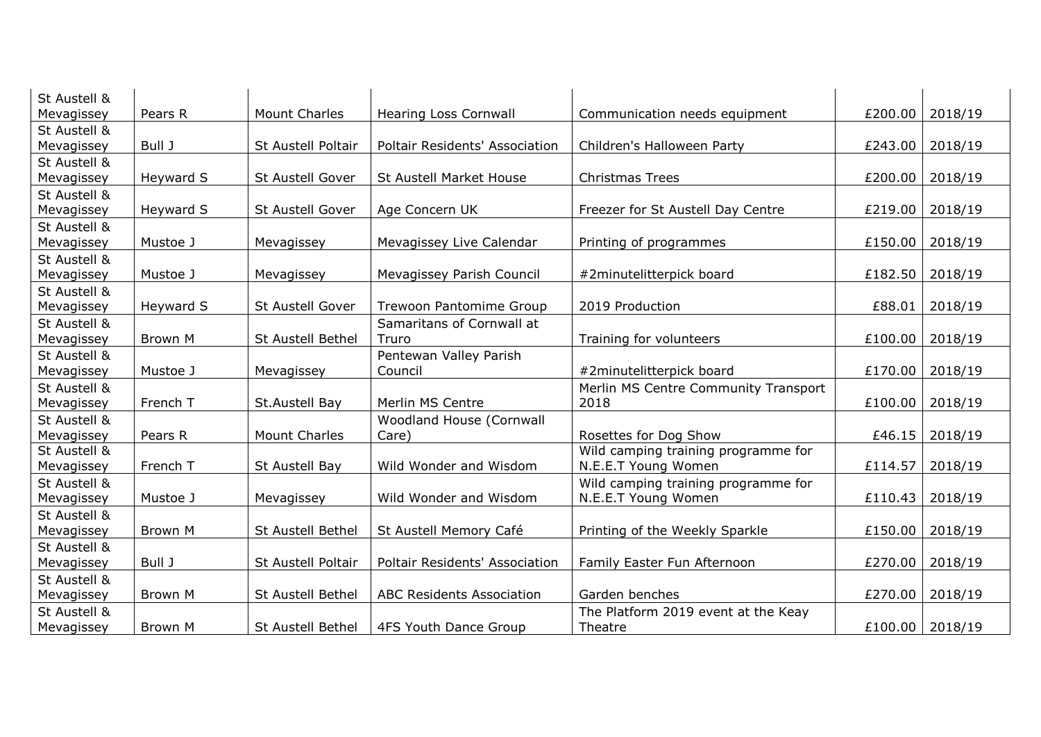| St Austell & |           |                         |                                       |                                      |         |                   |
|--------------|-----------|-------------------------|---------------------------------------|--------------------------------------|---------|-------------------|
| Mevagissey   | Pears R   | <b>Mount Charles</b>    | <b>Hearing Loss Cornwall</b>          | Communication needs equipment        | £200.00 | 2018/19           |
| St Austell & |           |                         |                                       |                                      |         |                   |
| Mevagissey   | Bull J    | St Austell Poltair      | <b>Poltair Residents' Association</b> | Children's Halloween Party           | £243.00 | 2018/19           |
| St Austell & |           |                         |                                       |                                      |         |                   |
| Mevagissey   | Heyward S | <b>St Austell Gover</b> | St Austell Market House               | <b>Christmas Trees</b>               | £200.00 | 2018/19           |
| St Austell & |           |                         |                                       |                                      |         |                   |
| Mevagissey   | Heyward S | St Austell Gover        | Age Concern UK                        | Freezer for St Austell Day Centre    | £219.00 | 2018/19           |
| St Austell & |           |                         |                                       |                                      |         |                   |
| Mevagissey   | Mustoe J  | Mevagissey              | Mevagissey Live Calendar              | Printing of programmes               | £150.00 | 2018/19           |
| St Austell & |           |                         |                                       |                                      |         |                   |
| Mevagissey   | Mustoe J  | Mevagissey              | Mevagissey Parish Council             | #2minutelitterpick board             | £182.50 | 2018/19           |
| St Austell & |           |                         |                                       |                                      |         |                   |
| Mevagissey   | Heyward S | St Austell Gover        | Trewoon Pantomime Group               | 2019 Production                      | £88.01  | 2018/19           |
| St Austell & |           |                         | Samaritans of Cornwall at             |                                      |         |                   |
| Mevagissey   | Brown M   | St Austell Bethel       | Truro                                 | Training for volunteers              | £100.00 | 2018/19           |
| St Austell & |           |                         | Pentewan Valley Parish                |                                      |         |                   |
| Mevagissey   | Mustoe J  | Mevagissey              | Council                               | #2minutelitterpick board             | £170.00 | 2018/19           |
| St Austell & |           |                         |                                       | Merlin MS Centre Community Transport |         |                   |
| Mevagissey   | French T  | St.Austell Bay          | Merlin MS Centre                      | 2018                                 | £100.00 | 2018/19           |
| St Austell & |           |                         | Woodland House (Cornwall              |                                      |         |                   |
| Mevagissey   | Pears R   | <b>Mount Charles</b>    | Care)                                 | Rosettes for Dog Show                | £46.15  | 2018/19           |
| St Austell & |           |                         |                                       | Wild camping training programme for  |         |                   |
| Mevagissey   | French T  | St Austell Bay          | Wild Wonder and Wisdom                | N.E.E.T Young Women                  | £114.57 | 2018/19           |
| St Austell & |           |                         |                                       | Wild camping training programme for  |         |                   |
| Mevagissey   | Mustoe J  | Mevagissey              | Wild Wonder and Wisdom                | N.E.E.T Young Women                  | £110.43 | 2018/19           |
| St Austell & |           |                         |                                       |                                      |         |                   |
| Mevagissey   | Brown M   | St Austell Bethel       | St Austell Memory Café                | Printing of the Weekly Sparkle       | £150.00 | 2018/19           |
| St Austell & |           |                         |                                       |                                      |         |                   |
| Mevagissey   | Bull J    | St Austell Poltair      | Poltair Residents' Association        | Family Easter Fun Afternoon          | £270.00 | 2018/19           |
| St Austell & |           |                         |                                       |                                      |         |                   |
| Mevagissey   | Brown M   | St Austell Bethel       | <b>ABC Residents Association</b>      | Garden benches                       | £270.00 | 2018/19           |
| St Austell & |           |                         |                                       | The Platform 2019 event at the Keay  |         |                   |
| Mevagissey   | Brown M   | St Austell Bethel       | 4FS Youth Dance Group                 | Theatre                              |         | £100.00   2018/19 |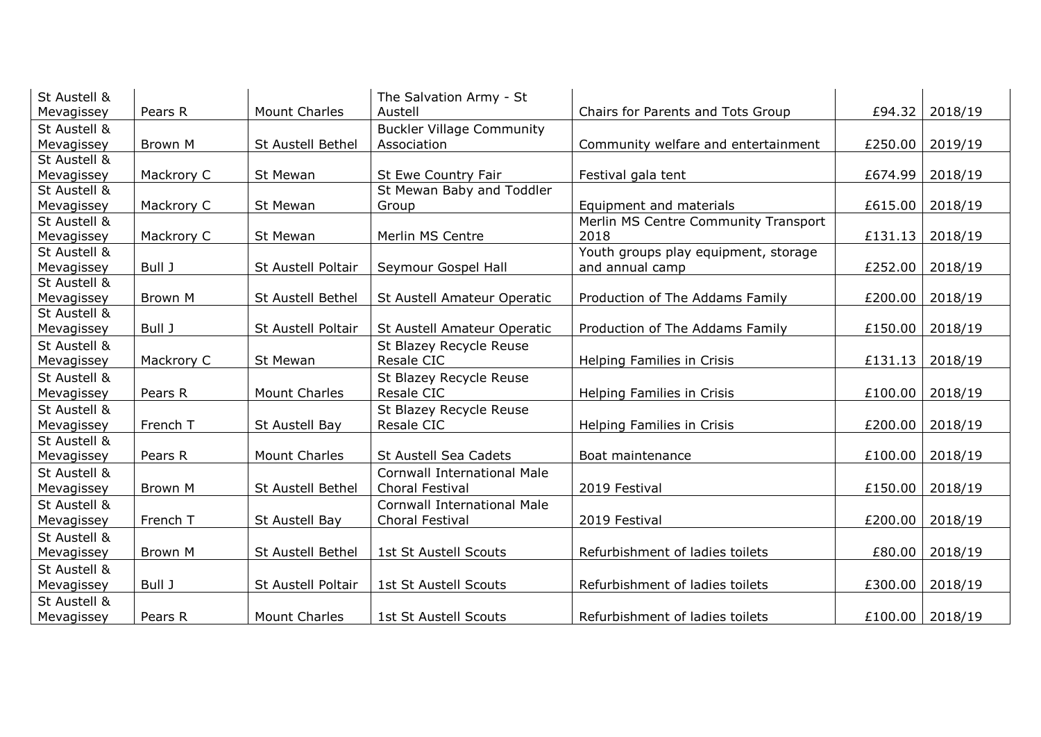| St Austell & |            |                      | The Salvation Army - St            |                                      |                   |         |
|--------------|------------|----------------------|------------------------------------|--------------------------------------|-------------------|---------|
| Mevagissey   | Pears R    | <b>Mount Charles</b> | Austell                            | Chairs for Parents and Tots Group    | £94.32            | 2018/19 |
| St Austell & |            |                      | <b>Buckler Village Community</b>   |                                      |                   |         |
| Mevagissey   | Brown M    | St Austell Bethel    | Association                        | Community welfare and entertainment  | £250.00           | 2019/19 |
| St Austell & |            |                      |                                    |                                      |                   |         |
| Mevagissey   | Mackrory C | St Mewan             | St Ewe Country Fair                | Festival gala tent                   | £674.99           | 2018/19 |
| St Austell & |            |                      | St Mewan Baby and Toddler          |                                      |                   |         |
| Mevagissey   | Mackrory C | St Mewan             | Group                              | Equipment and materials              | £615.00           | 2018/19 |
| St Austell & |            |                      |                                    | Merlin MS Centre Community Transport |                   |         |
| Mevagissey   | Mackrory C | St Mewan             | Merlin MS Centre                   | 2018                                 | £131.13           | 2018/19 |
| St Austell & |            |                      |                                    | Youth groups play equipment, storage |                   |         |
| Mevagissey   | Bull J     | St Austell Poltair   | Seymour Gospel Hall                | and annual camp                      | £252.00           | 2018/19 |
| St Austell & |            |                      |                                    |                                      |                   |         |
| Mevagissey   | Brown M    | St Austell Bethel    | St Austell Amateur Operatic        | Production of The Addams Family      | £200.00           | 2018/19 |
| St Austell & |            |                      |                                    |                                      |                   |         |
| Mevagissey   | Bull J     | St Austell Poltair   | St Austell Amateur Operatic        | Production of The Addams Family      | £150.00           | 2018/19 |
| St Austell & |            |                      | St Blazey Recycle Reuse            |                                      |                   |         |
| Mevagissey   | Mackrory C | St Mewan             | Resale CIC                         | Helping Families in Crisis           | £131.13           | 2018/19 |
| St Austell & |            |                      | St Blazey Recycle Reuse            |                                      |                   |         |
| Mevagissey   | Pears R    | <b>Mount Charles</b> | Resale CIC                         | Helping Families in Crisis           | £100.00           | 2018/19 |
| St Austell & |            |                      | St Blazey Recycle Reuse            |                                      |                   |         |
| Mevagissey   | French T   | St Austell Bay       | Resale CIC                         | Helping Families in Crisis           | £200.00           | 2018/19 |
| St Austell & |            |                      |                                    |                                      |                   |         |
| Mevagissey   | Pears R    | <b>Mount Charles</b> | St Austell Sea Cadets              | Boat maintenance                     | £100.00           | 2018/19 |
| St Austell & |            |                      | <b>Cornwall International Male</b> |                                      |                   |         |
| Mevagissey   | Brown M    | St Austell Bethel    | Choral Festival                    | 2019 Festival                        | £150.00           | 2018/19 |
| St Austell & |            |                      | <b>Cornwall International Male</b> |                                      |                   |         |
| Mevagissey   | French T   | St Austell Bay       | Choral Festival                    | 2019 Festival                        | £200.00           | 2018/19 |
| St Austell & |            |                      |                                    |                                      |                   |         |
| Mevagissey   | Brown M    | St Austell Bethel    | 1st St Austell Scouts              | Refurbishment of ladies toilets      | £80.00            | 2018/19 |
| St Austell & |            |                      |                                    |                                      |                   |         |
| Mevagissey   | Bull J     | St Austell Poltair   | 1st St Austell Scouts              | Refurbishment of ladies toilets      | £300.00           | 2018/19 |
| St Austell & |            |                      |                                    |                                      |                   |         |
| Mevagissey   | Pears R    | <b>Mount Charles</b> | <b>1st St Austell Scouts</b>       | Refurbishment of ladies toilets      | £100.00   2018/19 |         |